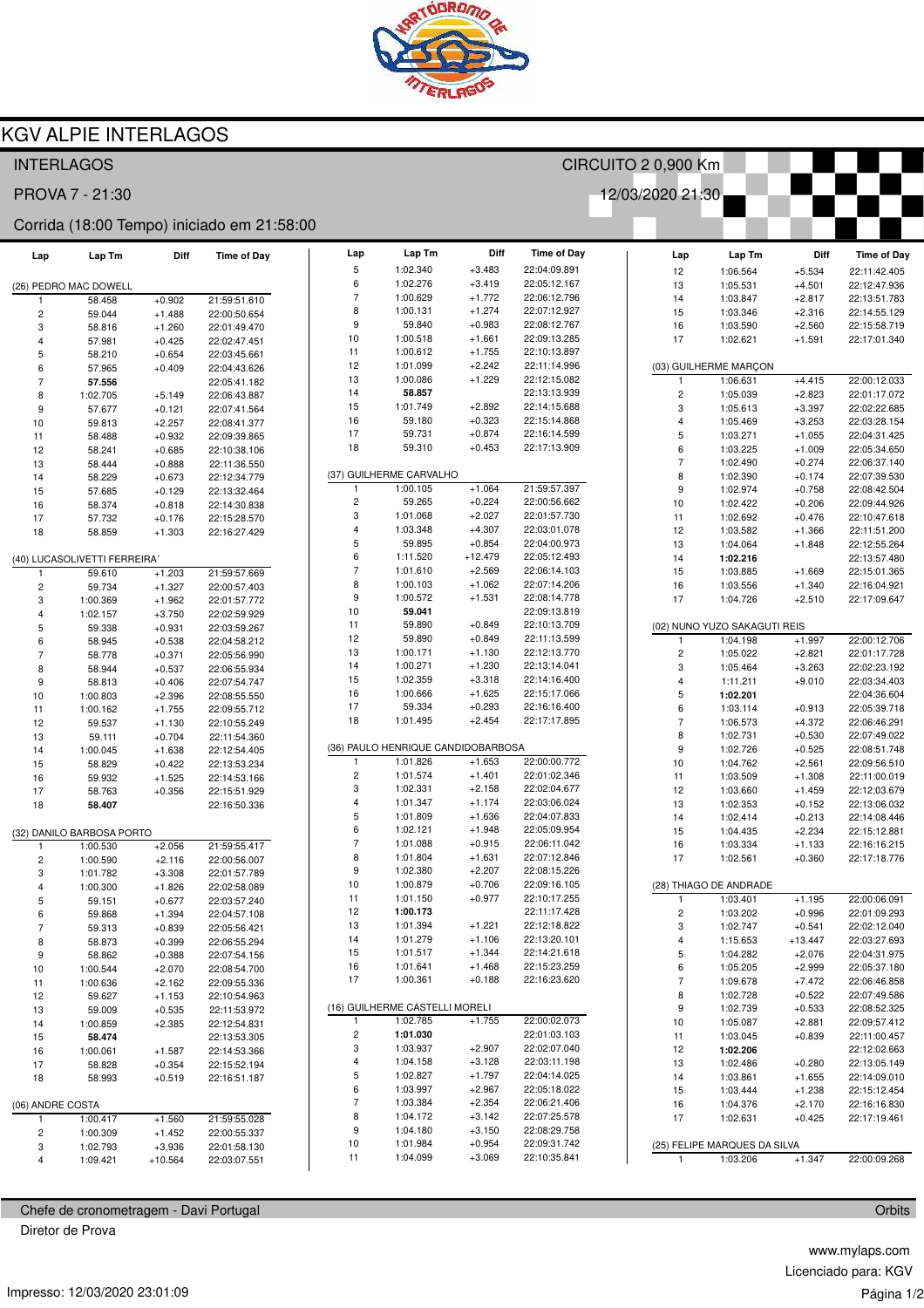

## **KGV ALPIE INTERLAGOS**

| <b>INTERLAGOS</b>                          |                              |                      |                              |                          |                                    |                      |                              |  | CIRCUITO 2 0,900 Km            |                              |                      |                              |  |
|--------------------------------------------|------------------------------|----------------------|------------------------------|--------------------------|------------------------------------|----------------------|------------------------------|--|--------------------------------|------------------------------|----------------------|------------------------------|--|
| 12/03/2020 21:30<br>PROVA 7 - 21:30        |                              |                      |                              |                          |                                    |                      |                              |  |                                |                              |                      |                              |  |
| Corrida (18:00 Tempo) iniciado em 21:58:00 |                              |                      |                              |                          |                                    |                      |                              |  |                                |                              |                      |                              |  |
| Lap                                        | Lap Tm                       | Diff                 | <b>Time of Day</b>           | Lap                      | Lap Tm                             | Diff                 | <b>Time of Day</b>           |  | Lap                            | Lap Tm                       | Diff                 | <b>Time of Day</b>           |  |
|                                            |                              |                      |                              | 5                        | 1:02.340                           | $+3.483$             | 22:04:09.891                 |  | 12                             | 1:06.564                     | $+5.534$             | 22:11:42.405                 |  |
|                                            | (26) PEDRO MAC DOWELL        |                      |                              | 6<br>$\overline{7}$      | 1:02.276                           | $+3.419$             | 22:05:12.167                 |  | 13                             | 1:05.531                     | $+4.501$             | 22:12:47.936                 |  |
| -1                                         | 58.458                       | $+0.902$             | 21:59:51.610                 | 8                        | 1:00.629<br>1:00.131               | $+1.772$<br>$+1.274$ | 22:06:12.796<br>22:07:12.927 |  | 14                             | 1:03.847                     | $+2.817$             | 22:13:51.783                 |  |
| $\overline{c}$                             | 59.044                       | $+1.488$             | 22:00:50.654                 | 9                        | 59.840                             | $+0.983$             | 22:08:12.767                 |  | 15<br>16                       | 1:03.346<br>1:03.590         | $+2.316$<br>$+2.560$ | 22:14:55.129<br>22:15:58.719 |  |
| 3<br>$\overline{4}$                        | 58.816<br>57.981             | $+1.260$<br>$+0.425$ | 22:01:49.470<br>22:02:47.451 | 10                       | 1:00.518                           | $+1.661$             | 22:09:13.285                 |  | 17                             | 1:02.621                     | $+1.591$             | 22:17:01.340                 |  |
| 5                                          | 58.210                       | $+0.654$             | 22:03:45.661                 | 11                       | 1:00.612                           | $+1.755$             | 22:10:13.897                 |  |                                |                              |                      |                              |  |
| 6                                          | 57.965                       | $+0.409$             | 22:04:43.626                 | 12                       | 1:01.099                           | $+2.242$             | 22:11:14.996                 |  |                                | (03) GUILHERME MARÇON        |                      |                              |  |
| $\overline{7}$                             | 57.556                       |                      | 22:05:41.182                 | 13                       | 1:00.086                           | $+1.229$             | 22:12:15.082                 |  | $\mathbf{1}$                   | 1:06.631                     | $+4.415$             | 22:00:12.033                 |  |
| 8                                          | 1:02.705                     | $+5.149$             | 22:06:43.887                 | 14                       | 58.857                             |                      | 22:13:13.939                 |  | $\overline{c}$                 | 1:05.039                     | $+2.823$             | 22:01:17.072                 |  |
| 9                                          | 57.677                       | $+0.121$             | 22:07:41.564                 | 15                       | 1:01.749                           | $+2.892$             | 22:14:15.688                 |  | 3                              | 1:05.613                     | $+3.397$             | 22:02:22.685                 |  |
| 10                                         | 59.813                       | $+2.257$             | 22:08:41.377                 | 16                       | 59.180                             | $+0.323$             | 22:15:14.868                 |  | $\overline{4}$                 | 1:05.469                     | $+3.253$             | 22:03:28.154                 |  |
| 11                                         | 58.488                       | $+0.932$             | 22:09:39.865                 | 17                       | 59.731                             | $+0.874$             | 22:16:14.599                 |  | 5                              | 1:03.271                     | $+1.055$             | 22:04:31.425                 |  |
| 12                                         | 58.241                       | $+0.685$             | 22:10:38.106                 | 18                       | 59.310                             | $+0.453$             | 22:17:13.909                 |  | 6                              | 1:03.225                     | $+1.009$             | 22:05:34.650                 |  |
| 13                                         | 58.444                       | $+0.888$             | 22:11:36.550                 |                          |                                    |                      |                              |  | $\overline{7}$                 | 1:02.490                     | $+0.274$             | 22:06:37.140                 |  |
| 14                                         | 58.229                       | $+0.673$             | 22:12:34.779                 | 1                        | (37) GUILHERME CARVALHO            |                      | 21:59:57.397                 |  | 8                              | 1:02.390                     | $+0.174$             | 22:07:39.530                 |  |
| 15                                         | 57.685                       | $+0.129$             | 22:13:32.464                 | $\overline{c}$           | 1:00.105<br>59.265                 | $+1.064$<br>$+0.224$ | 22:00:56.662                 |  | 9                              | 1:02.974                     | $+0.758$             | 22:08:42.504                 |  |
| 16                                         | 58.374                       | $+0.818$             | 22:14:30.838                 | 3                        | 1:01.068                           | $+2.027$             | 22:01:57.730                 |  | 10<br>11                       | 1:02.422<br>1:02.692         | $+0.206$<br>$+0.476$ | 22:09:44.926<br>22:10:47.618 |  |
| 17                                         | 57.732                       | $+0.176$             | 22:15:28.570                 | 4                        | 1:03.348                           | $+4.307$             | 22:03:01.078                 |  | 12                             | 1:03.582                     | $+1.366$             | 22:11:51.200                 |  |
| 18                                         | 58.859                       | $+1.303$             | 22:16:27.429                 | 5                        | 59.895                             | $+0.854$             | 22:04:00.973                 |  | 13                             | 1:04.064                     | $+1.848$             | 22:12:55.264                 |  |
|                                            | (40) LUCASOLIVETTI FERREIRA' |                      |                              | 6                        | 1:11.520                           | $+12.479$            | 22:05:12.493                 |  | 14                             | 1:02.216                     |                      | 22:13:57.480                 |  |
|                                            | 59.610                       | $+1.203$             | 21:59:57.669                 | $\overline{\mathcal{I}}$ | 1:01.610                           | $+2.569$             | 22:06:14.103                 |  | 15                             | 1:03.885                     | $+1.669$             | 22:15:01.365                 |  |
| $\overline{c}$                             | 59.734                       | $+1.327$             | 22:00:57.403                 | 8                        | 1:00.103                           | $+1.062$             | 22:07:14.206                 |  | 16                             | 1:03.556                     | $+1.340$             | 22:16:04.921                 |  |
| 3                                          | 1:00.369                     | $+1.962$             | 22:01:57.772                 | 9                        | 1:00.572                           | $+1.531$             | 22:08:14.778                 |  | 17                             | 1:04.726                     | $+2.510$             | 22:17:09.647                 |  |
| $\overline{4}$                             | 1:02.157                     | $+3.750$             | 22:02:59.929                 | 10                       | 59.041                             |                      | 22:09:13.819                 |  |                                |                              |                      |                              |  |
| 5                                          | 59.338                       | $+0.931$             | 22:03:59.267                 | 11                       | 59.890                             | $+0.849$             | 22:10:13.709                 |  |                                | (02) NUNO YUZO SAKAGUTI REIS |                      |                              |  |
| 6                                          | 58.945                       | $+0.538$             | 22:04:58.212                 | 12                       | 59.890                             | $+0.849$             | 22:11:13.599                 |  | -1                             | 1:04.198                     | $+1.997$             | 22:00:12.706                 |  |
| $\overline{7}$                             | 58.778                       | $+0.371$             | 22:05:56.990                 | 13                       | 1:00.171                           | $+1.130$             | 22:12:13.770                 |  | $\overline{c}$                 | 1:05.022                     | $+2.821$             | 22:01:17.728                 |  |
| 8                                          | 58.944                       | $+0.537$             | 22:06:55.934                 | 14                       | 1:00.271                           | $+1.230$             | 22:13:14.041                 |  | 3                              | 1:05.464                     | $+3.263$             | 22:02:23.192                 |  |
| 9                                          | 58.813                       | $+0.406$             | 22:07:54.747                 | 15                       | 1:02.359                           | $+3.318$             | 22:14:16.400                 |  | $\overline{4}$                 | 1:11.211                     | $+9.010$             | 22:03:34.403                 |  |
| 10                                         | 1:00.803                     | $+2.396$             | 22:08:55.550                 | 16<br>17                 | 1:00.666<br>59.334                 | $+1.625$<br>$+0.293$ | 22:15:17.066<br>22:16:16.400 |  | $\overline{5}$                 | 1:02.201                     |                      | 22:04:36.604                 |  |
| 11                                         | 1:00.162                     | $+1.755$             | 22:09:55.712                 | 18                       | 1:01.495                           | $+2.454$             | 22:17:17.895                 |  | 6<br>$\overline{7}$            | 1:03.114                     | $+0.913$             | 22:05:39.718                 |  |
| 12                                         | 59.537                       | $+1.130$             | 22:10:55.249                 |                          |                                    |                      |                              |  | 8                              | 1:06.573<br>1:02.731         | $+4.372$<br>$+0.530$ | 22:06:46.291<br>22:07:49.022 |  |
| 13<br>14                                   | 59.111<br>1:00.045           | $+0.704$<br>$+1.638$ | 22:11:54.360<br>22:12:54.405 |                          | (36) PAULO HENRIQUE CANDIDOBARBOSA |                      |                              |  | $\boldsymbol{9}$               | 1:02.726                     | $+0.525$             | 22:08:51.748                 |  |
| 15                                         | 58.829                       | $+0.422$             | 22:13:53.234                 | 1                        | 1:01.826                           | $+1.653$             | 22:00:00.772                 |  | 10                             | 1:04.762                     | $+2.561$             | 22:09:56.510                 |  |
| 16                                         | 59.932                       | $+1.525$             | 22:14:53.166                 | $\overline{c}$           | 1:01.574                           | $+1.401$             | 22:01:02.346                 |  | 11                             | 1:03.509                     | $+1.308$             | 22:11:00.019                 |  |
| 17                                         | 58.763                       | $+0.356$             | 22:15:51.929                 | 3                        | 1:02.331                           | $+2.158$             | 22:02:04.677                 |  | 12                             | 1:03.660                     | $+1.459$             | 22:12:03.679                 |  |
| 18                                         | 58.407                       |                      | 22:16:50.336                 | $\overline{4}$           | 1:01.347                           | $+1.174$             | 22:03:06.024                 |  | 13                             | 1:02.353                     | $+0.152$             | 22:13:06.032                 |  |
|                                            |                              |                      |                              | 5                        | 1:01.809                           | $+1.636$             | 22:04:07.833                 |  | 14                             | 1:02.414                     | $+0.213$             | 22:14:08.446                 |  |
|                                            | (32) DANILO BARBOSA PORTO    |                      |                              | 6                        | 1:02.121                           | $+1.948$             | 22:05:09.954                 |  | 15                             | 1:04.435                     | $+2.234$             | 22:15:12.881                 |  |
|                                            | 1:00.530                     | $+2.056$             | 21:59:55.417                 | $\overline{7}$           | 1:01.088                           | $+0.915$             | 22:06:11.042                 |  | 16                             | 1:03.334                     | $+1.133$             | 22:16:16.215                 |  |
| $\overline{c}$                             | 1:00.590                     | $+2.116$             | 22:00:56.007                 | 8                        | 1:01.804                           | $+1.631$             | 22:07:12.846                 |  | 17                             | 1:02.561                     | $+0.360$             | 22:17:18.776                 |  |
| 3                                          | 1:01.782                     | $+3.308$             | 22:01:57.789                 | 9                        | 1:02.380                           | $+2.207$             | 22:08:15.226                 |  |                                |                              |                      |                              |  |
| $\overline{4}$                             | 1:00.300                     | $+1.826$             | 22:02:58.089                 | 10<br>11                 | 1:00.879<br>1:01.150               | $+0.706$<br>$+0.977$ | 22:09:16.105<br>22:10:17.255 |  |                                | (28) THIAGO DE ANDRADE       |                      |                              |  |
| $\,$ 5 $\,$                                | 59.151                       | $+0.677$             | 22:03:57.240                 | 12                       | 1:00.173                           |                      | 22:11:17.428                 |  | $\mathbf{1}$<br>$\overline{c}$ | 1:03.401<br>1:03.202         | $+1.195$<br>$+0.996$ | 22:00:06.091<br>22:01:09.293 |  |
| 6<br>$\overline{7}$                        | 59.868<br>59.313             | $+1.394$<br>$+0.839$ | 22:04:57.108<br>22:05:56.421 | 13                       | 1:01.394                           | $+1.221$             | 22:12:18.822                 |  | 3                              | 1:02.747                     | $+0.541$             | 22:02:12.040                 |  |
| 8                                          | 58.873                       | $+0.399$             | 22:06:55.294                 | 14                       | 1:01.279                           | $+1.106$             | 22:13:20.101                 |  | $\overline{4}$                 | 1:15.653                     | $+13.447$            | 22:03:27.693                 |  |
| 9                                          | 58.862                       | $+0.388$             | 22:07:54.156                 | 15                       | 1:01.517                           | $+1.344$             | 22:14:21.618                 |  | 5                              | 1:04.282                     | $+2.076$             | 22:04:31.975                 |  |
| 10                                         | 1:00.544                     | $+2.070$             | 22:08:54.700                 | 16                       | 1:01.641                           | $+1.468$             | 22:15:23.259                 |  | 6                              | 1:05.205                     | $+2.999$             | 22:05:37.180                 |  |
| 11                                         | 1:00.636                     | $+2.162$             | 22:09:55.336                 | 17                       | 1:00.361                           | $+0.188$             | 22:16:23.620                 |  | $\overline{7}$                 | 1:09.678                     | $+7.472$             | 22:06:46.858                 |  |
| 12                                         | 59.627                       | $+1.153$             | 22:10:54.963                 |                          |                                    |                      |                              |  | 8                              | 1:02.728                     | $+0.522$             | 22:07:49.586                 |  |
| 13                                         | 59.009                       | $+0.535$             | 22:11:53.972                 |                          | (16) GUILHERME CASTELLI MORELI     |                      |                              |  | $\boldsymbol{9}$               | 1:02.739                     | $+0.533$             | 22:08:52.325                 |  |
| 14                                         | 1:00.859                     | $+2.385$             | 22:12:54.831                 | 1                        | 1:02.785                           | $+1.755$             | 22:00:02.073                 |  | 10                             | 1:05.087                     | $+2.881$             | 22:09:57.412                 |  |
| 15                                         | 58.474                       |                      | 22:13:53.305                 | 2                        | 1:01.030                           |                      | 22:01:03.103                 |  | 11                             | 1:03.045                     | $+0.839$             | 22:11:00.457                 |  |
| 16                                         | 1:00.061                     | $+1.587$             | 22:14:53.366                 | 3                        | 1:03.937                           | $+2.907$             | 22:02:07.040                 |  | 12                             | 1:02.206                     |                      | 22:12:02.663                 |  |
| 17                                         | 58.828                       | $+0.354$             | 22:15:52.194                 | 4                        | 1:04.158                           | $+3.128$             | 22:03:11.198                 |  | 13                             | 1:02.486                     | $+0.280$             | 22:13:05.149                 |  |
| 18                                         | 58.993                       | $+0.519$             | 22:16:51.187                 | 5                        | 1:02.827                           | $+1.797$             | 22:04:14.025                 |  | 14                             | 1:03.861                     | $+1.655$             | 22:14:09.010                 |  |
|                                            |                              |                      |                              | 6<br>$\boldsymbol{7}$    | 1:03.997<br>1:03.384               | $+2.967$<br>$+2.354$ | 22:05:18.022<br>22:06:21.406 |  | 15                             | 1:03.444                     | $+1.238$             | 22:15:12.454                 |  |
| (06) ANDRE COSTA                           |                              |                      |                              | 8                        | 1:04.172                           | $+3.142$             | 22:07:25.578                 |  | 16<br>17                       | 1:04.376<br>1:02.631         | $+2.170$<br>$+0.425$ | 22:16:16.830<br>22:17:19.461 |  |
| 1<br>$\overline{c}$                        | 1:00.417<br>1:00.309         | $+1.560$<br>$+1.452$ | 21:59:55.028<br>22:00:55.337 | 9                        | 1:04.180                           | $+3.150$             | 22:08:29.758                 |  |                                |                              |                      |                              |  |
| 3                                          | 1:02.793                     | $+3.936$             | 22:01:58.130                 | 10                       | 1:01.984                           | $+0.954$             | 22:09:31.742                 |  |                                | (25) FELIPE MARQUES DA SILVA |                      |                              |  |
| 4                                          | 1:09.421                     | $+10.564$            | 22:03:07.551                 | 11                       | 1:04.099                           | $+3.069$             | 22:10:35.841                 |  | $\overline{1}$                 | 1:03.206                     | $+1.347$             | 22:00:09.268                 |  |
|                                            |                              |                      |                              |                          |                                    |                      |                              |  |                                |                              |                      |                              |  |

Chefe de cronometragem - Davi Portugal

Diretor de Prova

www.mylaps.com Licenciado para: KGV Página 1/2

Orbits